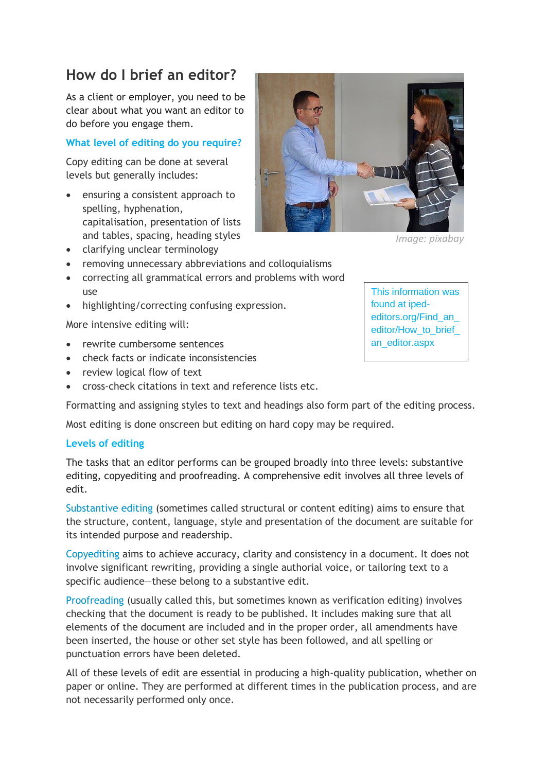# **How do I brief an editor?**

As a client or employer, you need to be clear about what you want an editor to do before you engage them.

## **What level of editing do you require?**

Copy editing can be done at several levels but generally includes:

- ensuring a consistent approach to spelling, hyphenation, capitalisation, presentation of lists and tables, spacing, heading styles
- clarifying unclear terminology
- removing unnecessary abbreviations and colloquialisms
- correcting all grammatical errors and problems with word use
- highlighting/correcting confusing expression.

More intensive editing will:

- rewrite cumbersome sentences
- check facts or indicate inconsistencies
- review logical flow of text
- cross-check citations in text and reference lists etc.

Formatting and assigning styles to text and headings also form part of the editing process.

Most editing is done onscreen but editing on hard copy may be required.

#### **Levels of editing**

The tasks that an editor performs can be grouped broadly into three levels: substantive editing, copyediting and proofreading. A comprehensive edit involves all three levels of edit.

[Substantive editing](http://iped-editors.org/Resources_for_editors/Substantive_editing.aspx) (sometimes called structural or content editing) aims to ensure that the structure, content, language, style and presentation of the document are suitable for its intended purpose and readership.

[Copyediting](http://iped-editors.org/Resources_for_editors/Copy_editing.aspx) aims to achieve accuracy, clarity and consistency in a document. It does not involve significant rewriting, providing a single authorial voice, or tailoring text to a specific audience—these belong to a substantive edit.

[Proofreading](http://iped-editors.org/Resources_for_editors/Proofreading.aspx) (usually called this, but sometimes known as verification editing) involves checking that the document is ready to be published. It includes making sure that all elements of the document are included and in the proper order, all amendments have been inserted, the house or other set style has been followed, and all spelling or punctuation errors have been deleted.

All of these levels of edit are essential in producing a high-quality publication, whether on paper or online. They are performed at different times in the publication process, and are not necessarily performed only once.

*Image: pixabay*

This information was found at ipededitors.org/Find\_an\_ editor/How\_to\_brief\_ an\_editor.aspx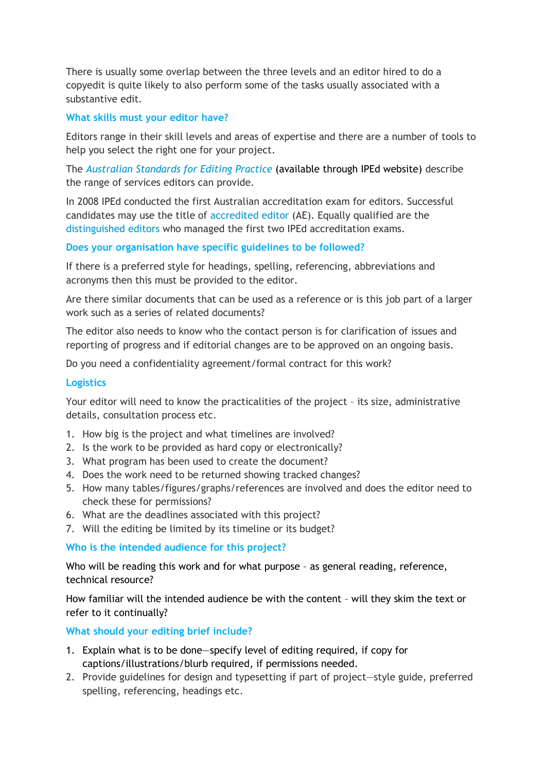There is usually some overlap between the three levels and an editor hired to do a copyedit is quite likely to also perform some of the tasks usually associated with a substantive edit.

### **What skills must your editor have?**

Editors range in their skill levels and areas of expertise and there are a number of tools to help you select the right one for your project.

The *[Australian Standards for Editing Practice](http://iped-editors.org/Resources_for_editors/Editing_standards.aspx)* (available through IPEd website) describe the range of services editors can provide.

In 2008 IPEd conducted the first Australian accreditation exam for editors. Successful candidates may use the title of [accredited editor](http://iped-editors.org/Accreditation/Accredited_editors.aspx) (AE). Equally qualified are the [distinguished editors](http://iped-editors.org/Accreditation/Distinguished_editors1.aspx) who managed the first two IPEd accreditation exams.

### **Does your organisation have specific guidelines to be followed?**

If there is a preferred style for headings, spelling, referencing, abbreviations and acronyms then this must be provided to the editor.

Are there similar documents that can be used as a reference or is this job part of a larger work such as a series of related documents?

The editor also needs to know who the contact person is for clarification of issues and reporting of progress and if editorial changes are to be approved on an ongoing basis.

Do you need a confidentiality agreement/formal contract for this work?

### **Logistics**

Your editor will need to know the practicalities of the project – its size, administrative details, consultation process etc.

- 1. How big is the project and what timelines are involved?
- 2. Is the work to be provided as hard copy or electronically?
- 3. What program has been used to create the document?
- 4. Does the work need to be returned showing tracked changes?
- 5. How many tables/figures/graphs/references are involved and does the editor need to check these for permissions?
- 6. What are the deadlines associated with this project?
- 7. Will the editing be limited by its timeline or its budget?

#### **Who is the intended audience for this project?**

Who will be reading this work and for what purpose - as general reading, reference, technical resource?

How familiar will the intended audience be with the content – will they skim the text or refer to it continually?

**What should your editing brief include?**

- 1. Explain what is to be done—specify level of editing required, if copy for captions/illustrations/blurb required, if permissions needed.
- 2. Provide guidelines for design and typesetting if part of project—style guide, preferred spelling, referencing, headings etc.